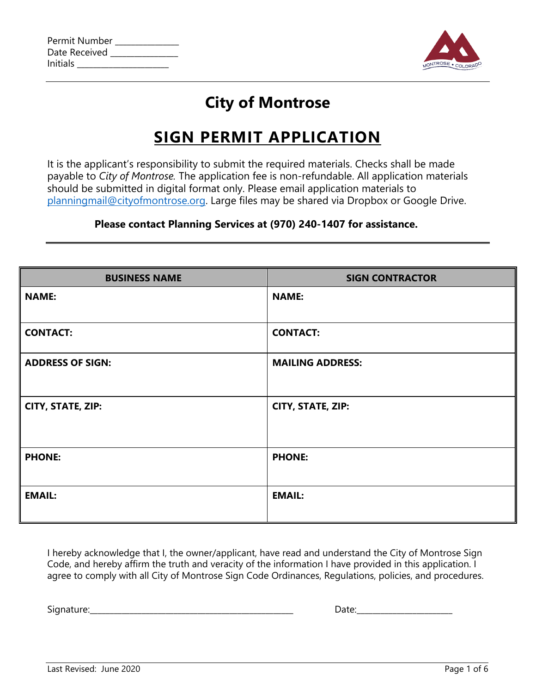| Permit Number |  |
|---------------|--|
| Date Received |  |
| Initials      |  |



## **City of Montrose**

## **SIGN PERMIT APPLICATION**

It is the applicant's responsibility to submit the required materials. Checks shall be made payable to *City of Montrose.* The application fee is non-refundable. All application materials should be submitted in digital format only. Please email application materials to [planningmail@cityofmontrose.org.](mailto:planningmail@cityofmontrose.org) Large files may be shared via Dropbox or Google Drive.

#### **Please contact Planning Services at (970) 240-1407 for assistance.**

| <b>BUSINESS NAME</b>    | <b>SIGN CONTRACTOR</b>  |  |  |  |
|-------------------------|-------------------------|--|--|--|
| <b>NAME:</b>            | <b>NAME:</b>            |  |  |  |
| <b>CONTACT:</b>         | <b>CONTACT:</b>         |  |  |  |
| <b>ADDRESS OF SIGN:</b> | <b>MAILING ADDRESS:</b> |  |  |  |
| CITY, STATE, ZIP:       | CITY, STATE, ZIP:       |  |  |  |
| <b>PHONE:</b>           | <b>PHONE:</b>           |  |  |  |
| <b>EMAIL:</b>           | <b>EMAIL:</b>           |  |  |  |

I hereby acknowledge that I, the owner/applicant, have read and understand the City of Montrose Sign Code, and hereby affirm the truth and veracity of the information I have provided in this application. I agree to comply with all City of Montrose Sign Code Ordinances, Regulations, policies, and procedures.

Signature:\_\_\_\_\_\_\_\_\_\_\_\_\_\_\_\_\_\_\_\_\_\_\_\_\_\_\_\_\_\_\_\_\_\_\_\_\_\_\_\_\_\_\_\_\_\_\_\_\_\_\_ Date:\_\_\_\_\_\_\_\_\_\_\_\_\_\_\_\_\_\_\_\_\_\_\_\_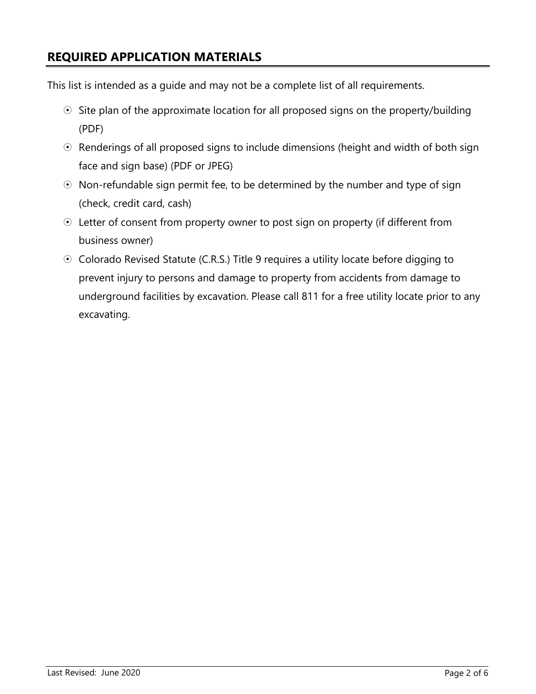#### **REQUIRED APPLICATION MATERIALS**

This list is intended as a guide and may not be a complete list of all requirements.

- $\odot$  Site plan of the approximate location for all proposed signs on the property/building (PDF)
- $\odot$  Renderings of all proposed signs to include dimensions (height and width of both sign face and sign base) (PDF or JPEG)
- $\odot$  Non-refundable sign permit fee, to be determined by the number and type of sign (check, credit card, cash)
- Letter of consent from property owner to post sign on property (if different from business owner)
- $\odot$  Colorado Revised Statute (C.R.S.) Title 9 requires a utility locate before digging to prevent injury to persons and damage to property from accidents from damage to underground facilities by excavation. Please call 811 for a free utility locate prior to any excavating.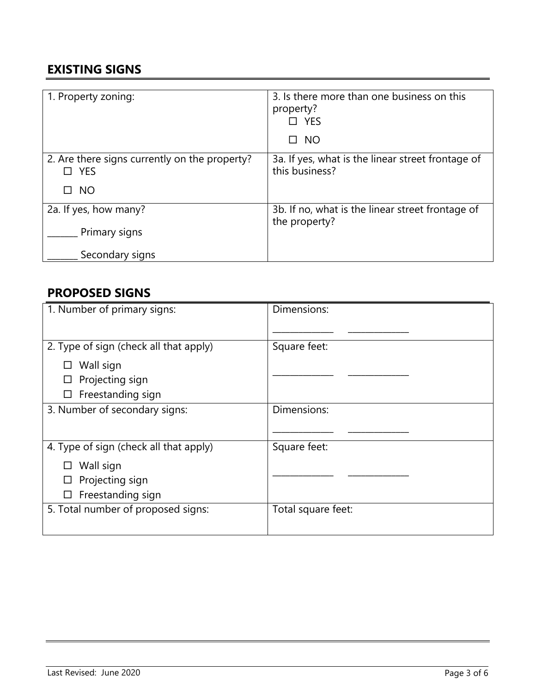#### **EXISTING SIGNS**

| 1. Property zoning:                                         | 3. Is there more than one business on this<br>property?<br>□ YES<br><b>NO</b><br>п |
|-------------------------------------------------------------|------------------------------------------------------------------------------------|
| 2. Are there signs currently on the property?<br>$\Box$ YES | 3a. If yes, what is the linear street frontage of<br>this business?                |
| <b>NO</b><br>П                                              |                                                                                    |
| 2a. If yes, how many?                                       | 3b. If no, what is the linear street frontage of<br>the property?                  |
| Primary signs                                               |                                                                                    |
| Secondary signs                                             |                                                                                    |

#### **PROPOSED SIGNS**

| 1. Number of primary signs:            | Dimensions:        |  |
|----------------------------------------|--------------------|--|
|                                        |                    |  |
| 2. Type of sign (check all that apply) | Square feet:       |  |
| Wall sign                              |                    |  |
| Projecting sign                        |                    |  |
| Freestanding sign<br>ப                 |                    |  |
| 3. Number of secondary signs:          | Dimensions:        |  |
|                                        |                    |  |
| 4. Type of sign (check all that apply) | Square feet:       |  |
| Wall sign                              |                    |  |
| Projecting sign                        |                    |  |
| Freestanding sign<br>$\Box$            |                    |  |
| 5. Total number of proposed signs:     | Total square feet: |  |
|                                        |                    |  |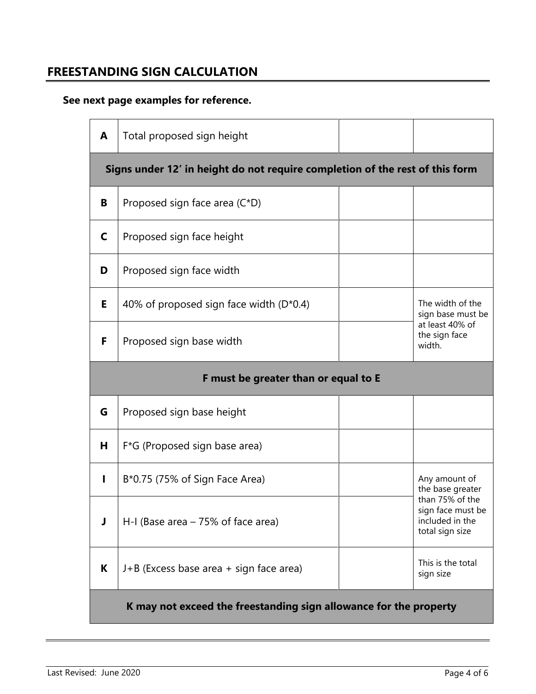#### **FREESTANDING SIGN CALCULATION**

### **See next page examples for reference.**

| A                                    | Total proposed sign height                                                   |  |                                                                                     |  |
|--------------------------------------|------------------------------------------------------------------------------|--|-------------------------------------------------------------------------------------|--|
|                                      | Signs under 12' in height do not require completion of the rest of this form |  |                                                                                     |  |
| B                                    | Proposed sign face area (C*D)                                                |  |                                                                                     |  |
| C                                    | Proposed sign face height                                                    |  |                                                                                     |  |
| D                                    | Proposed sign face width                                                     |  |                                                                                     |  |
| Е                                    | 40% of proposed sign face width $(D*0.4)$                                    |  | The width of the<br>sign base must be<br>at least 40% of<br>the sign face<br>width. |  |
| F                                    | Proposed sign base width                                                     |  |                                                                                     |  |
| F must be greater than or equal to E |                                                                              |  |                                                                                     |  |
| G                                    | Proposed sign base height                                                    |  |                                                                                     |  |
| н                                    | F*G (Proposed sign base area)                                                |  |                                                                                     |  |
|                                      |                                                                              |  |                                                                                     |  |
|                                      | B*0.75 (75% of Sign Face Area)                                               |  | Any amount of<br>the base greater                                                   |  |
| J                                    | $H-I$ (Base area $-75\%$ of face area)                                       |  | than 75% of the<br>sign face must be<br>included in the<br>total sign size          |  |
| K                                    | J+B (Excess base area + sign face area)                                      |  | This is the total<br>sign size                                                      |  |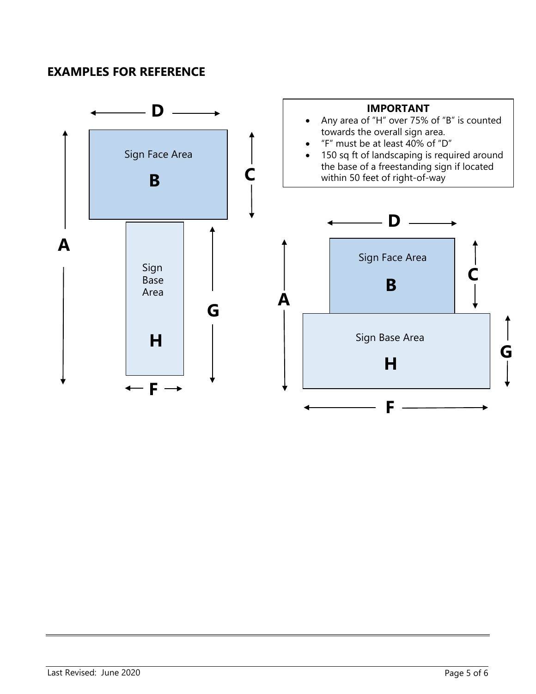#### **EXAMPLES FOR REFERENCE**